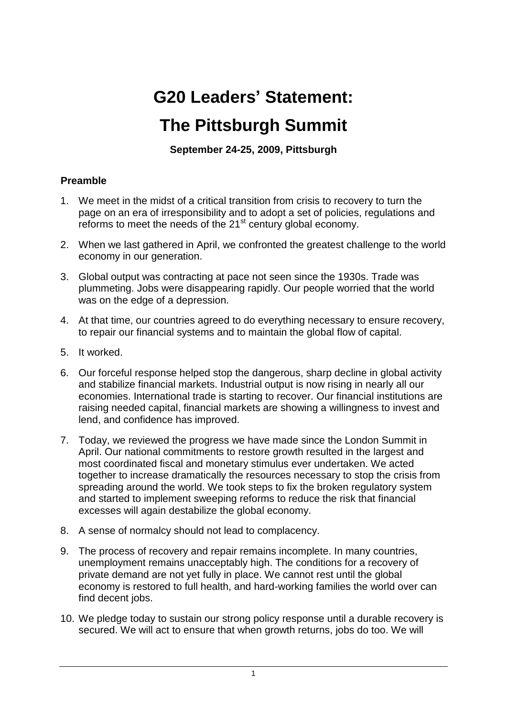# **G20 Leaders' Statement:**

# **The Pittsburgh Summit**

**September 24-25, 2009, Pittsburgh**

#### **Preamble**

- 1. We meet in the midst of a critical transition from crisis to recovery to turn the page on an era of irresponsibility and to adopt a set of policies, regulations and reforms to meet the needs of the  $21<sup>st</sup>$  century global economy.
- 2. When we last gathered in April, we confronted the greatest challenge to the world economy in our generation.
- 3. Global output was contracting at pace not seen since the 1930s. Trade was plummeting. Jobs were disappearing rapidly. Our people worried that the world was on the edge of a depression.
- 4. At that time, our countries agreed to do everything necessary to ensure recovery, to repair our financial systems and to maintain the global flow of capital.
- 5. It worked.
- 6. Our forceful response helped stop the dangerous, sharp decline in global activity and stabilize financial markets. Industrial output is now rising in nearly all our economies. International trade is starting to recover. Our financial institutions are raising needed capital, financial markets are showing a willingness to invest and lend, and confidence has improved.
- 7. Today, we reviewed the progress we have made since the London Summit in April. Our national commitments to restore growth resulted in the largest and most coordinated fiscal and monetary stimulus ever undertaken. We acted together to increase dramatically the resources necessary to stop the crisis from spreading around the world. We took steps to fix the broken regulatory system and started to implement sweeping reforms to reduce the risk that financial excesses will again destabilize the global economy.
- 8. A sense of normalcy should not lead to complacency.
- 9. The process of recovery and repair remains incomplete. In many countries, unemployment remains unacceptably high. The conditions for a recovery of private demand are not yet fully in place. We cannot rest until the global economy is restored to full health, and hard-working families the world over can find decent jobs.
- 10. We pledge today to sustain our strong policy response until a durable recovery is secured. We will act to ensure that when growth returns, jobs do too. We will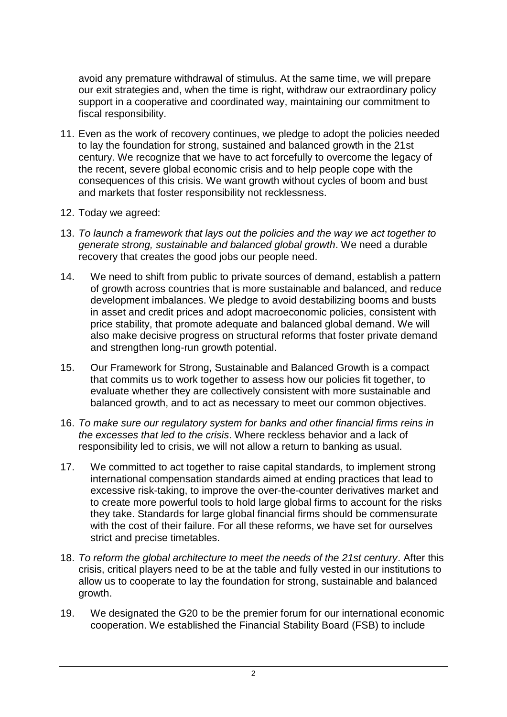avoid any premature withdrawal of stimulus. At the same time, we will prepare our exit strategies and, when the time is right, withdraw our extraordinary policy support in a cooperative and coordinated way, maintaining our commitment to fiscal responsibility.

- 11. Even as the work of recovery continues, we pledge to adopt the policies needed to lay the foundation for strong, sustained and balanced growth in the 21st century. We recognize that we have to act forcefully to overcome the legacy of the recent, severe global economic crisis and to help people cope with the consequences of this crisis. We want growth without cycles of boom and bust and markets that foster responsibility not recklessness.
- 12. Today we agreed:
- 13. *To launch a framework that lays out the policies and the way we act together to generate strong, sustainable and balanced global growth*. We need a durable recovery that creates the good jobs our people need.
- 14. We need to shift from public to private sources of demand, establish a pattern of growth across countries that is more sustainable and balanced, and reduce development imbalances. We pledge to avoid destabilizing booms and busts in asset and credit prices and adopt macroeconomic policies, consistent with price stability, that promote adequate and balanced global demand. We will also make decisive progress on structural reforms that foster private demand and strengthen long-run growth potential.
- 15. Our Framework for Strong, Sustainable and Balanced Growth is a compact that commits us to work together to assess how our policies fit together, to evaluate whether they are collectively consistent with more sustainable and balanced growth, and to act as necessary to meet our common objectives.
- 16. *To make sure our regulatory system for banks and other financial firms reins in the excesses that led to the crisis*. Where reckless behavior and a lack of responsibility led to crisis, we will not allow a return to banking as usual.
- 17. We committed to act together to raise capital standards, to implement strong international compensation standards aimed at ending practices that lead to excessive risk-taking, to improve the over-the-counter derivatives market and to create more powerful tools to hold large global firms to account for the risks they take. Standards for large global financial firms should be commensurate with the cost of their failure. For all these reforms, we have set for ourselves strict and precise timetables.
- 18. *To reform the global architecture to meet the needs of the 21st century*. After this crisis, critical players need to be at the table and fully vested in our institutions to allow us to cooperate to lay the foundation for strong, sustainable and balanced growth.
- 19. We designated the G20 to be the premier forum for our international economic cooperation. We established the Financial Stability Board (FSB) to include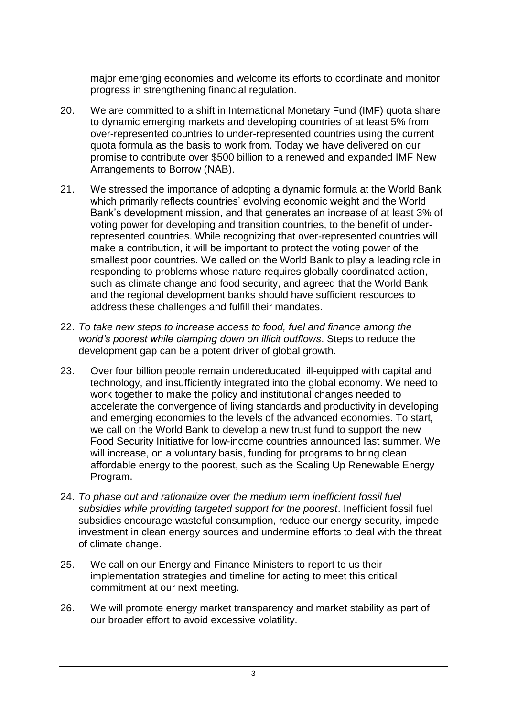major emerging economies and welcome its efforts to coordinate and monitor progress in strengthening financial regulation.

- 20. We are committed to a shift in International Monetary Fund (IMF) quota share to dynamic emerging markets and developing countries of at least 5% from over-represented countries to under-represented countries using the current quota formula as the basis to work from. Today we have delivered on our promise to contribute over \$500 billion to a renewed and expanded IMF New Arrangements to Borrow (NAB).
- 21. We stressed the importance of adopting a dynamic formula at the World Bank which primarily reflects countries' evolving economic weight and the World Bank's development mission, and that generates an increase of at least 3% of voting power for developing and transition countries, to the benefit of underrepresented countries. While recognizing that over-represented countries will make a contribution, it will be important to protect the voting power of the smallest poor countries. We called on the World Bank to play a leading role in responding to problems whose nature requires globally coordinated action, such as climate change and food security, and agreed that the World Bank and the regional development banks should have sufficient resources to address these challenges and fulfill their mandates.
- 22. *To take new steps to increase access to food, fuel and finance among the world's poorest while clamping down on illicit outflows*. Steps to reduce the development gap can be a potent driver of global growth.
- 23. Over four billion people remain undereducated, ill-equipped with capital and technology, and insufficiently integrated into the global economy. We need to work together to make the policy and institutional changes needed to accelerate the convergence of living standards and productivity in developing and emerging economies to the levels of the advanced economies. To start, we call on the World Bank to develop a new trust fund to support the new Food Security Initiative for low-income countries announced last summer. We will increase, on a voluntary basis, funding for programs to bring clean affordable energy to the poorest, such as the Scaling Up Renewable Energy Program.
- 24. *To phase out and rationalize over the medium term inefficient fossil fuel subsidies while providing targeted support for the poorest*. Inefficient fossil fuel subsidies encourage wasteful consumption, reduce our energy security, impede investment in clean energy sources and undermine efforts to deal with the threat of climate change.
- 25. We call on our Energy and Finance Ministers to report to us their implementation strategies and timeline for acting to meet this critical commitment at our next meeting.
- 26. We will promote energy market transparency and market stability as part of our broader effort to avoid excessive volatility.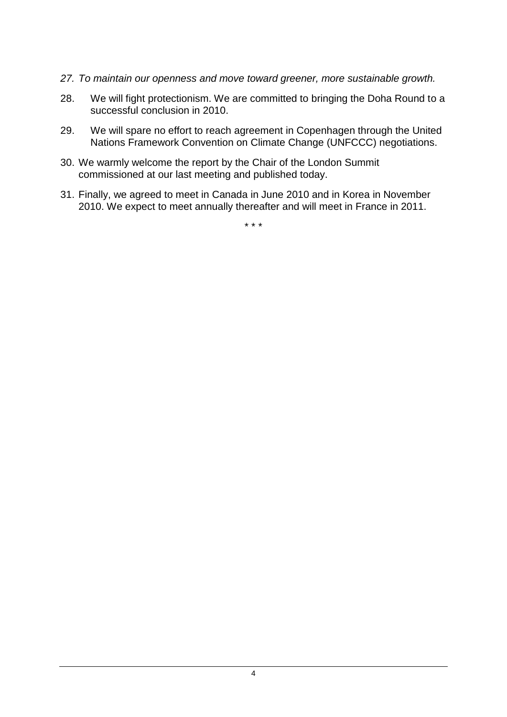- *27. To maintain our openness and move toward greener, more sustainable growth.*
- 28. We will fight protectionism. We are committed to bringing the Doha Round to a successful conclusion in 2010.
- 29. We will spare no effort to reach agreement in Copenhagen through the United Nations Framework Convention on Climate Change (UNFCCC) negotiations.
- 30. We warmly welcome the report by the Chair of the London Summit commissioned at our last meeting and published today.
- 31. Finally, we agreed to meet in Canada in June 2010 and in Korea in November 2010. We expect to meet annually thereafter and will meet in France in 2011.

\* \* \*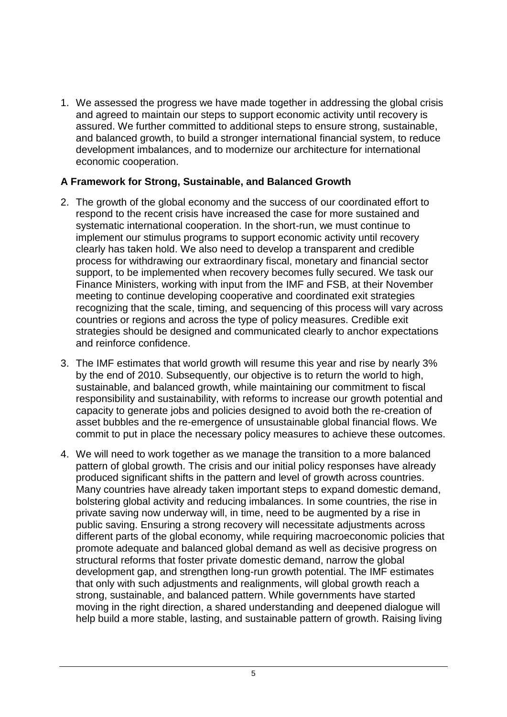1. We assessed the progress we have made together in addressing the global crisis and agreed to maintain our steps to support economic activity until recovery is assured. We further committed to additional steps to ensure strong, sustainable, and balanced growth, to build a stronger international financial system, to reduce development imbalances, and to modernize our architecture for international economic cooperation.

#### **A Framework for Strong, Sustainable, and Balanced Growth**

- 2. The growth of the global economy and the success of our coordinated effort to respond to the recent crisis have increased the case for more sustained and systematic international cooperation. In the short-run, we must continue to implement our stimulus programs to support economic activity until recovery clearly has taken hold. We also need to develop a transparent and credible process for withdrawing our extraordinary fiscal, monetary and financial sector support, to be implemented when recovery becomes fully secured. We task our Finance Ministers, working with input from the IMF and FSB, at their November meeting to continue developing cooperative and coordinated exit strategies recognizing that the scale, timing, and sequencing of this process will vary across countries or regions and across the type of policy measures. Credible exit strategies should be designed and communicated clearly to anchor expectations and reinforce confidence.
- 3. The IMF estimates that world growth will resume this year and rise by nearly 3% by the end of 2010. Subsequently, our objective is to return the world to high, sustainable, and balanced growth, while maintaining our commitment to fiscal responsibility and sustainability, with reforms to increase our growth potential and capacity to generate jobs and policies designed to avoid both the re-creation of asset bubbles and the re-emergence of unsustainable global financial flows. We commit to put in place the necessary policy measures to achieve these outcomes.
- 4. We will need to work together as we manage the transition to a more balanced pattern of global growth. The crisis and our initial policy responses have already produced significant shifts in the pattern and level of growth across countries. Many countries have already taken important steps to expand domestic demand, bolstering global activity and reducing imbalances. In some countries, the rise in private saving now underway will, in time, need to be augmented by a rise in public saving. Ensuring a strong recovery will necessitate adjustments across different parts of the global economy, while requiring macroeconomic policies that promote adequate and balanced global demand as well as decisive progress on structural reforms that foster private domestic demand, narrow the global development gap, and strengthen long-run growth potential. The IMF estimates that only with such adjustments and realignments, will global growth reach a strong, sustainable, and balanced pattern. While governments have started moving in the right direction, a shared understanding and deepened dialogue will help build a more stable, lasting, and sustainable pattern of growth. Raising living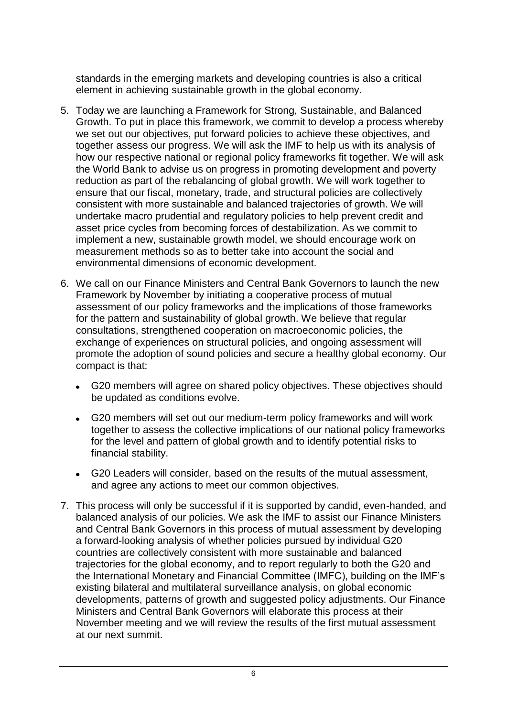standards in the emerging markets and developing countries is also a critical element in achieving sustainable growth in the global economy.

- 5. Today we are launching a Framework for Strong, Sustainable, and Balanced Growth. To put in place this framework, we commit to develop a process whereby we set out our objectives, put forward policies to achieve these objectives, and together assess our progress. We will ask the IMF to help us with its analysis of how our respective national or regional policy frameworks fit together. We will ask the World Bank to advise us on progress in promoting development and poverty reduction as part of the rebalancing of global growth. We will work together to ensure that our fiscal, monetary, trade, and structural policies are collectively consistent with more sustainable and balanced trajectories of growth. We will undertake macro prudential and regulatory policies to help prevent credit and asset price cycles from becoming forces of destabilization. As we commit to implement a new, sustainable growth model, we should encourage work on measurement methods so as to better take into account the social and environmental dimensions of economic development.
- 6. We call on our Finance Ministers and Central Bank Governors to launch the new Framework by November by initiating a cooperative process of mutual assessment of our policy frameworks and the implications of those frameworks for the pattern and sustainability of global growth. We believe that regular consultations, strengthened cooperation on macroeconomic policies, the exchange of experiences on structural policies, and ongoing assessment will promote the adoption of sound policies and secure a healthy global economy. Our compact is that:
	- G20 members will agree on shared policy objectives. These objectives should be updated as conditions evolve.
	- G20 members will set out our medium-term policy frameworks and will work together to assess the collective implications of our national policy frameworks for the level and pattern of global growth and to identify potential risks to financial stability.
	- G20 Leaders will consider, based on the results of the mutual assessment, and agree any actions to meet our common objectives.
- 7. This process will only be successful if it is supported by candid, even-handed, and balanced analysis of our policies. We ask the IMF to assist our Finance Ministers and Central Bank Governors in this process of mutual assessment by developing a forward-looking analysis of whether policies pursued by individual G20 countries are collectively consistent with more sustainable and balanced trajectories for the global economy, and to report regularly to both the G20 and the International Monetary and Financial Committee (IMFC), building on the IMF's existing bilateral and multilateral surveillance analysis, on global economic developments, patterns of growth and suggested policy adjustments. Our Finance Ministers and Central Bank Governors will elaborate this process at their November meeting and we will review the results of the first mutual assessment at our next summit.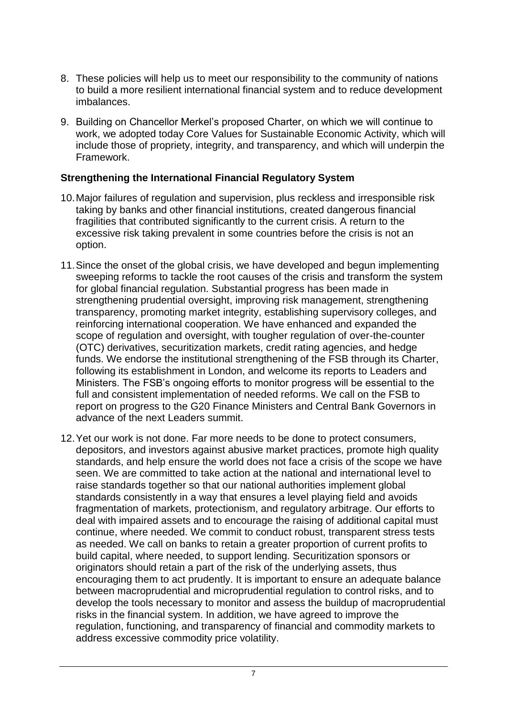- 8. These policies will help us to meet our responsibility to the community of nations to build a more resilient international financial system and to reduce development imbalances.
- 9. Building on Chancellor Merkel's proposed Charter, on which we will continue to work, we adopted today Core Values for Sustainable Economic Activity, which will include those of propriety, integrity, and transparency, and which will underpin the Framework.

#### **Strengthening the International Financial Regulatory System**

- 10.Major failures of regulation and supervision, plus reckless and irresponsible risk taking by banks and other financial institutions, created dangerous financial fragilities that contributed significantly to the current crisis. A return to the excessive risk taking prevalent in some countries before the crisis is not an option.
- 11.Since the onset of the global crisis, we have developed and begun implementing sweeping reforms to tackle the root causes of the crisis and transform the system for global financial regulation. Substantial progress has been made in strengthening prudential oversight, improving risk management, strengthening transparency, promoting market integrity, establishing supervisory colleges, and reinforcing international cooperation. We have enhanced and expanded the scope of regulation and oversight, with tougher regulation of over-the-counter (OTC) derivatives, securitization markets, credit rating agencies, and hedge funds. We endorse the institutional strengthening of the FSB through its Charter, following its establishment in London, and welcome its reports to Leaders and Ministers. The FSB's ongoing efforts to monitor progress will be essential to the full and consistent implementation of needed reforms. We call on the FSB to report on progress to the G20 Finance Ministers and Central Bank Governors in advance of the next Leaders summit.
- 12.Yet our work is not done. Far more needs to be done to protect consumers, depositors, and investors against abusive market practices, promote high quality standards, and help ensure the world does not face a crisis of the scope we have seen. We are committed to take action at the national and international level to raise standards together so that our national authorities implement global standards consistently in a way that ensures a level playing field and avoids fragmentation of markets, protectionism, and regulatory arbitrage. Our efforts to deal with impaired assets and to encourage the raising of additional capital must continue, where needed. We commit to conduct robust, transparent stress tests as needed. We call on banks to retain a greater proportion of current profits to build capital, where needed, to support lending. Securitization sponsors or originators should retain a part of the risk of the underlying assets, thus encouraging them to act prudently. It is important to ensure an adequate balance between macroprudential and microprudential regulation to control risks, and to develop the tools necessary to monitor and assess the buildup of macroprudential risks in the financial system. In addition, we have agreed to improve the regulation, functioning, and transparency of financial and commodity markets to address excessive commodity price volatility.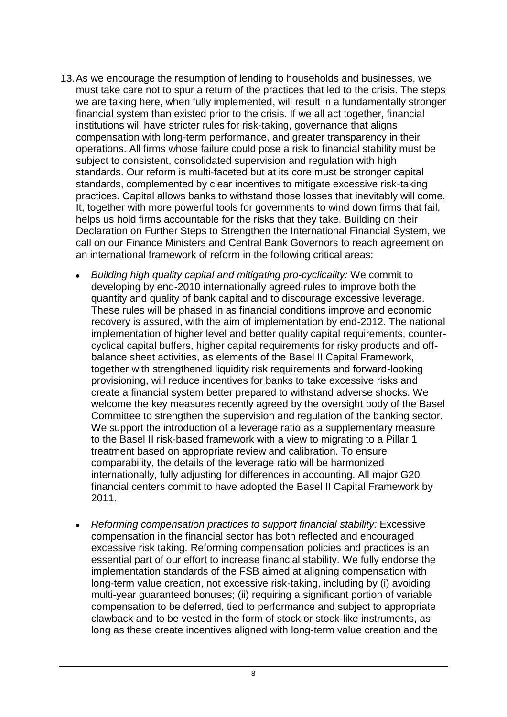- 13.As we encourage the resumption of lending to households and businesses, we must take care not to spur a return of the practices that led to the crisis. The steps we are taking here, when fully implemented, will result in a fundamentally stronger financial system than existed prior to the crisis. If we all act together, financial institutions will have stricter rules for risk-taking, governance that aligns compensation with long-term performance, and greater transparency in their operations. All firms whose failure could pose a risk to financial stability must be subject to consistent, consolidated supervision and regulation with high standards. Our reform is multi-faceted but at its core must be stronger capital standards, complemented by clear incentives to mitigate excessive risk-taking practices. Capital allows banks to withstand those losses that inevitably will come. It, together with more powerful tools for governments to wind down firms that fail, helps us hold firms accountable for the risks that they take. Building on their Declaration on Further Steps to Strengthen the International Financial System, we call on our Finance Ministers and Central Bank Governors to reach agreement on an international framework of reform in the following critical areas:
	- *Building high quality capital and mitigating pro-cyclicality:* We commit to developing by end-2010 internationally agreed rules to improve both the quantity and quality of bank capital and to discourage excessive leverage. These rules will be phased in as financial conditions improve and economic recovery is assured, with the aim of implementation by end-2012. The national implementation of higher level and better quality capital requirements, countercyclical capital buffers, higher capital requirements for risky products and offbalance sheet activities, as elements of the Basel II Capital Framework, together with strengthened liquidity risk requirements and forward-looking provisioning, will reduce incentives for banks to take excessive risks and create a financial system better prepared to withstand adverse shocks. We welcome the key measures recently agreed by the oversight body of the Basel Committee to strengthen the supervision and regulation of the banking sector. We support the introduction of a leverage ratio as a supplementary measure to the Basel II risk-based framework with a view to migrating to a Pillar 1 treatment based on appropriate review and calibration. To ensure comparability, the details of the leverage ratio will be harmonized internationally, fully adjusting for differences in accounting. All major G20 financial centers commit to have adopted the Basel II Capital Framework by 2011.
	- *Reforming compensation practices to support financial stability:* Excessive  $\bullet$ compensation in the financial sector has both reflected and encouraged excessive risk taking. Reforming compensation policies and practices is an essential part of our effort to increase financial stability. We fully endorse the implementation standards of the FSB aimed at aligning compensation with long-term value creation, not excessive risk-taking, including by (i) avoiding multi-year guaranteed bonuses; (ii) requiring a significant portion of variable compensation to be deferred, tied to performance and subject to appropriate clawback and to be vested in the form of stock or stock-like instruments, as long as these create incentives aligned with long-term value creation and the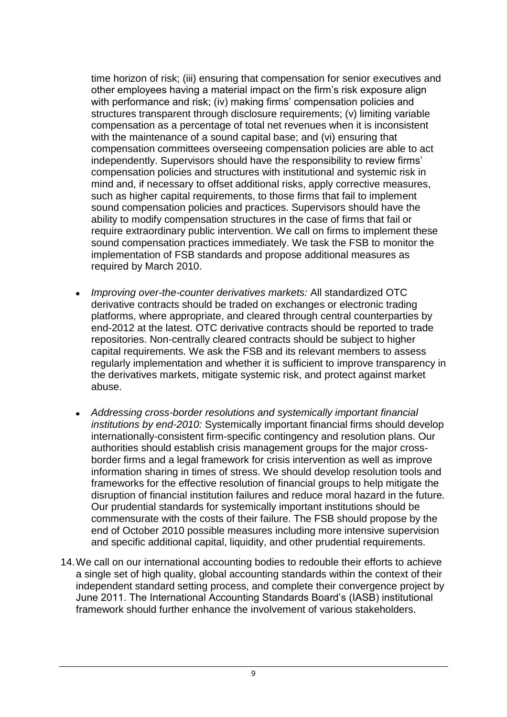time horizon of risk; (iii) ensuring that compensation for senior executives and other employees having a material impact on the firm's risk exposure align with performance and risk; (iv) making firms' compensation policies and structures transparent through disclosure requirements; (v) limiting variable compensation as a percentage of total net revenues when it is inconsistent with the maintenance of a sound capital base; and (vi) ensuring that compensation committees overseeing compensation policies are able to act independently. Supervisors should have the responsibility to review firms' compensation policies and structures with institutional and systemic risk in mind and, if necessary to offset additional risks, apply corrective measures, such as higher capital requirements, to those firms that fail to implement sound compensation policies and practices. Supervisors should have the ability to modify compensation structures in the case of firms that fail or require extraordinary public intervention. We call on firms to implement these sound compensation practices immediately. We task the FSB to monitor the implementation of FSB standards and propose additional measures as required by March 2010.

- *Improving over-the-counter derivatives markets:* All standardized OTC derivative contracts should be traded on exchanges or electronic trading platforms, where appropriate, and cleared through central counterparties by end-2012 at the latest. OTC derivative contracts should be reported to trade repositories. Non-centrally cleared contracts should be subject to higher capital requirements. We ask the FSB and its relevant members to assess regularly implementation and whether it is sufficient to improve transparency in the derivatives markets, mitigate systemic risk, and protect against market abuse.
- *Addressing cross-border resolutions and systemically important financial institutions by end-2010:* Systemically important financial firms should develop internationally-consistent firm-specific contingency and resolution plans. Our authorities should establish crisis management groups for the major crossborder firms and a legal framework for crisis intervention as well as improve information sharing in times of stress. We should develop resolution tools and frameworks for the effective resolution of financial groups to help mitigate the disruption of financial institution failures and reduce moral hazard in the future. Our prudential standards for systemically important institutions should be commensurate with the costs of their failure. The FSB should propose by the end of October 2010 possible measures including more intensive supervision and specific additional capital, liquidity, and other prudential requirements.
- 14.We call on our international accounting bodies to redouble their efforts to achieve a single set of high quality, global accounting standards within the context of their independent standard setting process, and complete their convergence project by June 2011. The International Accounting Standards Board's (IASB) institutional framework should further enhance the involvement of various stakeholders.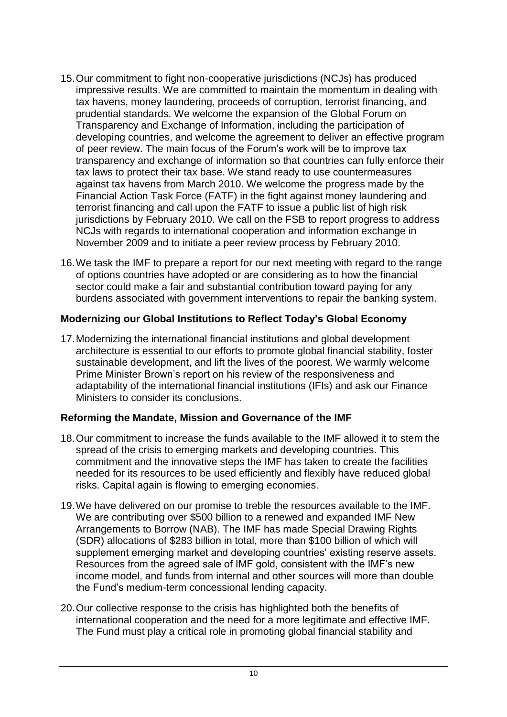- 15.Our commitment to fight non-cooperative jurisdictions (NCJs) has produced impressive results. We are committed to maintain the momentum in dealing with tax havens, money laundering, proceeds of corruption, terrorist financing, and prudential standards. We welcome the expansion of the Global Forum on Transparency and Exchange of Information, including the participation of developing countries, and welcome the agreement to deliver an effective program of peer review. The main focus of the Forum's work will be to improve tax transparency and exchange of information so that countries can fully enforce their tax laws to protect their tax base. We stand ready to use countermeasures against tax havens from March 2010. We welcome the progress made by the Financial Action Task Force (FATF) in the fight against money laundering and terrorist financing and call upon the FATF to issue a public list of high risk jurisdictions by February 2010. We call on the FSB to report progress to address NCJs with regards to international cooperation and information exchange in November 2009 and to initiate a peer review process by February 2010.
- 16.We task the IMF to prepare a report for our next meeting with regard to the range of options countries have adopted or are considering as to how the financial sector could make a fair and substantial contribution toward paying for any burdens associated with government interventions to repair the banking system.

#### **Modernizing our Global Institutions to Reflect Today's Global Economy**

17.Modernizing the international financial institutions and global development architecture is essential to our efforts to promote global financial stability, foster sustainable development, and lift the lives of the poorest. We warmly welcome Prime Minister Brown's report on his review of the responsiveness and adaptability of the international financial institutions (IFIs) and ask our Finance Ministers to consider its conclusions.

#### **Reforming the Mandate, Mission and Governance of the IMF**

- 18.Our commitment to increase the funds available to the IMF allowed it to stem the spread of the crisis to emerging markets and developing countries. This commitment and the innovative steps the IMF has taken to create the facilities needed for its resources to be used efficiently and flexibly have reduced global risks. Capital again is flowing to emerging economies.
- 19.We have delivered on our promise to treble the resources available to the IMF. We are contributing over \$500 billion to a renewed and expanded IMF New Arrangements to Borrow (NAB). The IMF has made Special Drawing Rights (SDR) allocations of \$283 billion in total, more than \$100 billion of which will supplement emerging market and developing countries' existing reserve assets. Resources from the agreed sale of IMF gold, consistent with the IMF's new income model, and funds from internal and other sources will more than double the Fund's medium-term concessional lending capacity.
- 20.Our collective response to the crisis has highlighted both the benefits of international cooperation and the need for a more legitimate and effective IMF. The Fund must play a critical role in promoting global financial stability and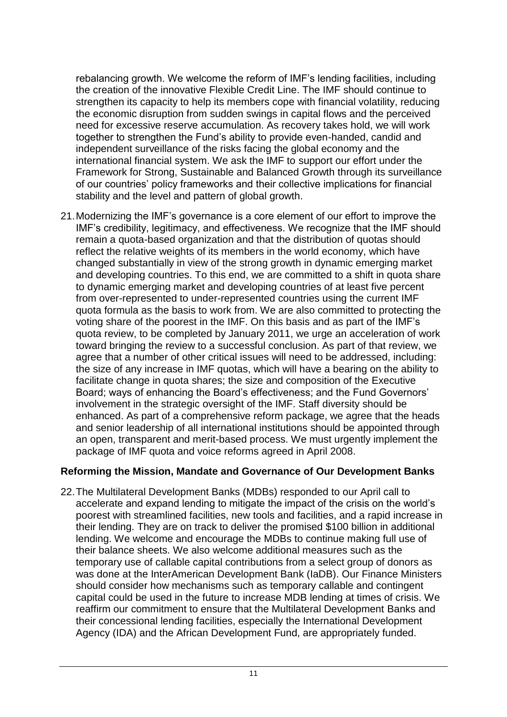rebalancing growth. We welcome the reform of IMF's lending facilities, including the creation of the innovative Flexible Credit Line. The IMF should continue to strengthen its capacity to help its members cope with financial volatility, reducing the economic disruption from sudden swings in capital flows and the perceived need for excessive reserve accumulation. As recovery takes hold, we will work together to strengthen the Fund's ability to provide even-handed, candid and independent surveillance of the risks facing the global economy and the international financial system. We ask the IMF to support our effort under the Framework for Strong, Sustainable and Balanced Growth through its surveillance of our countries' policy frameworks and their collective implications for financial stability and the level and pattern of global growth.

21.Modernizing the IMF's governance is a core element of our effort to improve the IMF's credibility, legitimacy, and effectiveness. We recognize that the IMF should remain a quota-based organization and that the distribution of quotas should reflect the relative weights of its members in the world economy, which have changed substantially in view of the strong growth in dynamic emerging market and developing countries. To this end, we are committed to a shift in quota share to dynamic emerging market and developing countries of at least five percent from over-represented to under-represented countries using the current IMF quota formula as the basis to work from. We are also committed to protecting the voting share of the poorest in the IMF. On this basis and as part of the IMF's quota review, to be completed by January 2011, we urge an acceleration of work toward bringing the review to a successful conclusion. As part of that review, we agree that a number of other critical issues will need to be addressed, including: the size of any increase in IMF quotas, which will have a bearing on the ability to facilitate change in quota shares; the size and composition of the Executive Board; ways of enhancing the Board's effectiveness; and the Fund Governors' involvement in the strategic oversight of the IMF. Staff diversity should be enhanced. As part of a comprehensive reform package, we agree that the heads and senior leadership of all international institutions should be appointed through an open, transparent and merit-based process. We must urgently implement the package of IMF quota and voice reforms agreed in April 2008.

#### **Reforming the Mission, Mandate and Governance of Our Development Banks**

22.The Multilateral Development Banks (MDBs) responded to our April call to accelerate and expand lending to mitigate the impact of the crisis on the world's poorest with streamlined facilities, new tools and facilities, and a rapid increase in their lending. They are on track to deliver the promised \$100 billion in additional lending. We welcome and encourage the MDBs to continue making full use of their balance sheets. We also welcome additional measures such as the temporary use of callable capital contributions from a select group of donors as was done at the InterAmerican Development Bank (IaDB). Our Finance Ministers should consider how mechanisms such as temporary callable and contingent capital could be used in the future to increase MDB lending at times of crisis. We reaffirm our commitment to ensure that the Multilateral Development Banks and their concessional lending facilities, especially the International Development Agency (IDA) and the African Development Fund, are appropriately funded.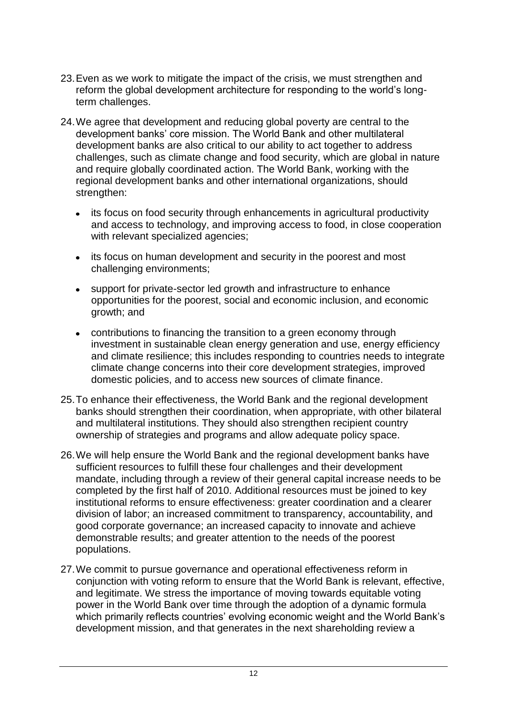- 23.Even as we work to mitigate the impact of the crisis, we must strengthen and reform the global development architecture for responding to the world's longterm challenges.
- 24.We agree that development and reducing global poverty are central to the development banks' core mission. The World Bank and other multilateral development banks are also critical to our ability to act together to address challenges, such as climate change and food security, which are global in nature and require globally coordinated action. The World Bank, working with the regional development banks and other international organizations, should strengthen:
	- its focus on food security through enhancements in agricultural productivity and access to technology, and improving access to food, in close cooperation with relevant specialized agencies;
	- its focus on human development and security in the poorest and most challenging environments;
	- support for private-sector led growth and infrastructure to enhance opportunities for the poorest, social and economic inclusion, and economic growth; and
	- contributions to financing the transition to a green economy through investment in sustainable clean energy generation and use, energy efficiency and climate resilience; this includes responding to countries needs to integrate climate change concerns into their core development strategies, improved domestic policies, and to access new sources of climate finance.
- 25.To enhance their effectiveness, the World Bank and the regional development banks should strengthen their coordination, when appropriate, with other bilateral and multilateral institutions. They should also strengthen recipient country ownership of strategies and programs and allow adequate policy space.
- 26.We will help ensure the World Bank and the regional development banks have sufficient resources to fulfill these four challenges and their development mandate, including through a review of their general capital increase needs to be completed by the first half of 2010. Additional resources must be joined to key institutional reforms to ensure effectiveness: greater coordination and a clearer division of labor; an increased commitment to transparency, accountability, and good corporate governance; an increased capacity to innovate and achieve demonstrable results; and greater attention to the needs of the poorest populations.
- 27.We commit to pursue governance and operational effectiveness reform in conjunction with voting reform to ensure that the World Bank is relevant, effective, and legitimate. We stress the importance of moving towards equitable voting power in the World Bank over time through the adoption of a dynamic formula which primarily reflects countries' evolving economic weight and the World Bank's development mission, and that generates in the next shareholding review a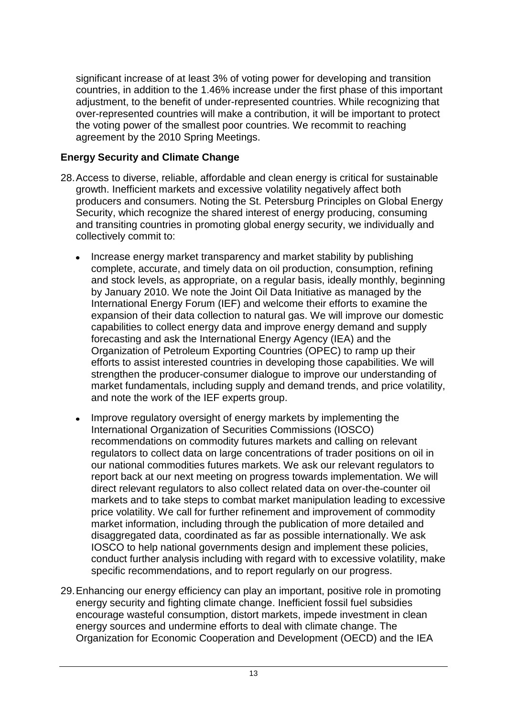significant increase of at least 3% of voting power for developing and transition countries, in addition to the 1.46% increase under the first phase of this important adjustment, to the benefit of under-represented countries. While recognizing that over-represented countries will make a contribution, it will be important to protect the voting power of the smallest poor countries. We recommit to reaching agreement by the 2010 Spring Meetings.

#### **Energy Security and Climate Change**

- 28.Access to diverse, reliable, affordable and clean energy is critical for sustainable growth. Inefficient markets and excessive volatility negatively affect both producers and consumers. Noting the St. Petersburg Principles on Global Energy Security, which recognize the shared interest of energy producing, consuming and transiting countries in promoting global energy security, we individually and collectively commit to:
	- Increase energy market transparency and market stability by publishing complete, accurate, and timely data on oil production, consumption, refining and stock levels, as appropriate, on a regular basis, ideally monthly, beginning by January 2010. We note the Joint Oil Data Initiative as managed by the International Energy Forum (IEF) and welcome their efforts to examine the expansion of their data collection to natural gas. We will improve our domestic capabilities to collect energy data and improve energy demand and supply forecasting and ask the International Energy Agency (IEA) and the Organization of Petroleum Exporting Countries (OPEC) to ramp up their efforts to assist interested countries in developing those capabilities. We will strengthen the producer-consumer dialogue to improve our understanding of market fundamentals, including supply and demand trends, and price volatility, and note the work of the IEF experts group.
	- Improve regulatory oversight of energy markets by implementing the  $\bullet$ International Organization of Securities Commissions (IOSCO) recommendations on commodity futures markets and calling on relevant regulators to collect data on large concentrations of trader positions on oil in our national commodities futures markets. We ask our relevant regulators to report back at our next meeting on progress towards implementation. We will direct relevant regulators to also collect related data on over-the-counter oil markets and to take steps to combat market manipulation leading to excessive price volatility. We call for further refinement and improvement of commodity market information, including through the publication of more detailed and disaggregated data, coordinated as far as possible internationally. We ask IOSCO to help national governments design and implement these policies, conduct further analysis including with regard with to excessive volatility, make specific recommendations, and to report regularly on our progress.
- 29.Enhancing our energy efficiency can play an important, positive role in promoting energy security and fighting climate change. Inefficient fossil fuel subsidies encourage wasteful consumption, distort markets, impede investment in clean energy sources and undermine efforts to deal with climate change. The Organization for Economic Cooperation and Development (OECD) and the IEA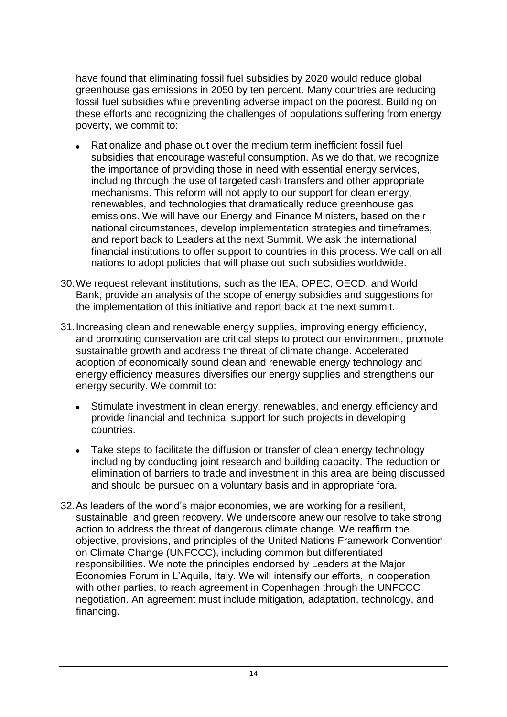have found that eliminating fossil fuel subsidies by 2020 would reduce global greenhouse gas emissions in 2050 by ten percent. Many countries are reducing fossil fuel subsidies while preventing adverse impact on the poorest. Building on these efforts and recognizing the challenges of populations suffering from energy poverty, we commit to:

- Rationalize and phase out over the medium term inefficient fossil fuel subsidies that encourage wasteful consumption. As we do that, we recognize the importance of providing those in need with essential energy services, including through the use of targeted cash transfers and other appropriate mechanisms. This reform will not apply to our support for clean energy, renewables, and technologies that dramatically reduce greenhouse gas emissions. We will have our Energy and Finance Ministers, based on their national circumstances, develop implementation strategies and timeframes, and report back to Leaders at the next Summit. We ask the international financial institutions to offer support to countries in this process. We call on all nations to adopt policies that will phase out such subsidies worldwide.
- 30.We request relevant institutions, such as the IEA, OPEC, OECD, and World Bank, provide an analysis of the scope of energy subsidies and suggestions for the implementation of this initiative and report back at the next summit.
- 31.Increasing clean and renewable energy supplies, improving energy efficiency, and promoting conservation are critical steps to protect our environment, promote sustainable growth and address the threat of climate change. Accelerated adoption of economically sound clean and renewable energy technology and energy efficiency measures diversifies our energy supplies and strengthens our energy security. We commit to:
	- Stimulate investment in clean energy, renewables, and energy efficiency and  $\bullet$ provide financial and technical support for such projects in developing countries.
	- Take steps to facilitate the diffusion or transfer of clean energy technology including by conducting joint research and building capacity. The reduction or elimination of barriers to trade and investment in this area are being discussed and should be pursued on a voluntary basis and in appropriate fora.
- 32.As leaders of the world's major economies, we are working for a resilient, sustainable, and green recovery. We underscore anew our resolve to take strong action to address the threat of dangerous climate change. We reaffirm the objective, provisions, and principles of the United Nations Framework Convention on Climate Change (UNFCCC), including common but differentiated responsibilities. We note the principles endorsed by Leaders at the Major Economies Forum in L'Aquila, Italy. We will intensify our efforts, in cooperation with other parties, to reach agreement in Copenhagen through the UNFCCC negotiation. An agreement must include mitigation, adaptation, technology, and financing.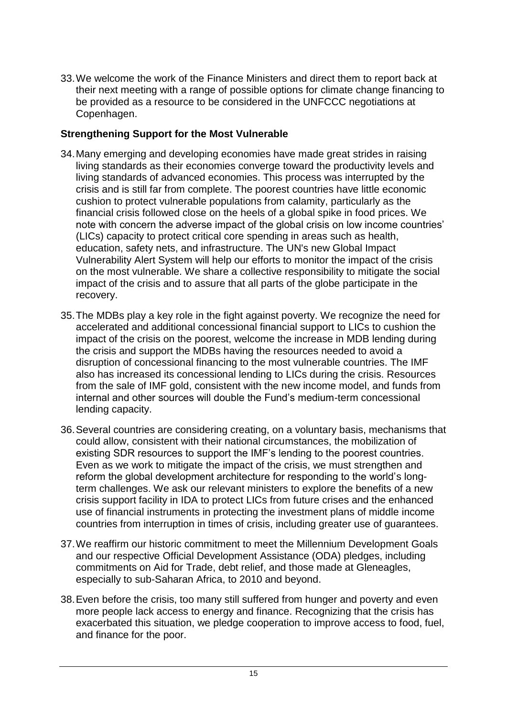33.We welcome the work of the Finance Ministers and direct them to report back at their next meeting with a range of possible options for climate change financing to be provided as a resource to be considered in the UNFCCC negotiations at Copenhagen.

#### **Strengthening Support for the Most Vulnerable**

- 34.Many emerging and developing economies have made great strides in raising living standards as their economies converge toward the productivity levels and living standards of advanced economies. This process was interrupted by the crisis and is still far from complete. The poorest countries have little economic cushion to protect vulnerable populations from calamity, particularly as the financial crisis followed close on the heels of a global spike in food prices. We note with concern the adverse impact of the global crisis on low income countries' (LICs) capacity to protect critical core spending in areas such as health, education, safety nets, and infrastructure. The UN's new Global Impact Vulnerability Alert System will help our efforts to monitor the impact of the crisis on the most vulnerable. We share a collective responsibility to mitigate the social impact of the crisis and to assure that all parts of the globe participate in the recovery.
- 35.The MDBs play a key role in the fight against poverty. We recognize the need for accelerated and additional concessional financial support to LICs to cushion the impact of the crisis on the poorest, welcome the increase in MDB lending during the crisis and support the MDBs having the resources needed to avoid a disruption of concessional financing to the most vulnerable countries. The IMF also has increased its concessional lending to LICs during the crisis. Resources from the sale of IMF gold, consistent with the new income model, and funds from internal and other sources will double the Fund's medium-term concessional lending capacity.
- 36.Several countries are considering creating, on a voluntary basis, mechanisms that could allow, consistent with their national circumstances, the mobilization of existing SDR resources to support the IMF's lending to the poorest countries. Even as we work to mitigate the impact of the crisis, we must strengthen and reform the global development architecture for responding to the world's longterm challenges. We ask our relevant ministers to explore the benefits of a new crisis support facility in IDA to protect LICs from future crises and the enhanced use of financial instruments in protecting the investment plans of middle income countries from interruption in times of crisis, including greater use of guarantees.
- 37.We reaffirm our historic commitment to meet the Millennium Development Goals and our respective Official Development Assistance (ODA) pledges, including commitments on Aid for Trade, debt relief, and those made at Gleneagles, especially to sub-Saharan Africa, to 2010 and beyond.
- 38.Even before the crisis, too many still suffered from hunger and poverty and even more people lack access to energy and finance. Recognizing that the crisis has exacerbated this situation, we pledge cooperation to improve access to food, fuel, and finance for the poor.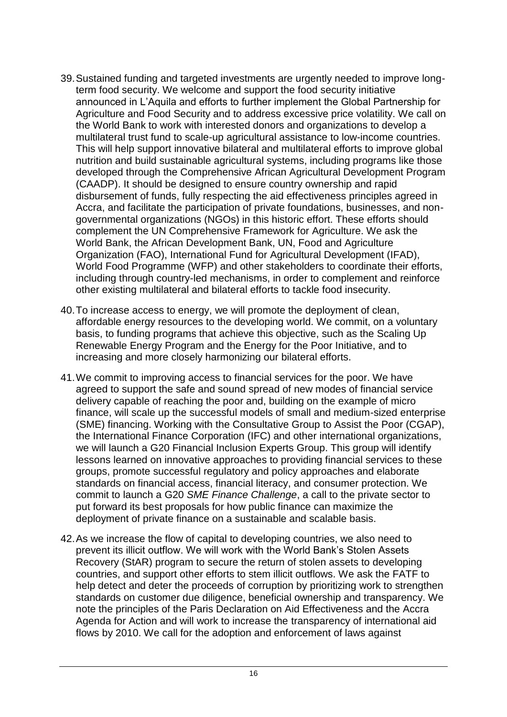- 39.Sustained funding and targeted investments are urgently needed to improve longterm food security. We welcome and support the food security initiative announced in L'Aquila and efforts to further implement the Global Partnership for Agriculture and Food Security and to address excessive price volatility. We call on the World Bank to work with interested donors and organizations to develop a multilateral trust fund to scale-up agricultural assistance to low-income countries. This will help support innovative bilateral and multilateral efforts to improve global nutrition and build sustainable agricultural systems, including programs like those developed through the Comprehensive African Agricultural Development Program (CAADP). It should be designed to ensure country ownership and rapid disbursement of funds, fully respecting the aid effectiveness principles agreed in Accra, and facilitate the participation of private foundations, businesses, and nongovernmental organizations (NGOs) in this historic effort. These efforts should complement the UN Comprehensive Framework for Agriculture. We ask the World Bank, the African Development Bank, UN, Food and Agriculture Organization (FAO), International Fund for Agricultural Development (IFAD), World Food Programme (WFP) and other stakeholders to coordinate their efforts, including through country-led mechanisms, in order to complement and reinforce other existing multilateral and bilateral efforts to tackle food insecurity.
- 40.To increase access to energy, we will promote the deployment of clean, affordable energy resources to the developing world. We commit, on a voluntary basis, to funding programs that achieve this objective, such as the Scaling Up Renewable Energy Program and the Energy for the Poor Initiative, and to increasing and more closely harmonizing our bilateral efforts.
- 41.We commit to improving access to financial services for the poor. We have agreed to support the safe and sound spread of new modes of financial service delivery capable of reaching the poor and, building on the example of micro finance, will scale up the successful models of small and medium-sized enterprise (SME) financing. Working with the Consultative Group to Assist the Poor (CGAP), the International Finance Corporation (IFC) and other international organizations, we will launch a G20 Financial Inclusion Experts Group. This group will identify lessons learned on innovative approaches to providing financial services to these groups, promote successful regulatory and policy approaches and elaborate standards on financial access, financial literacy, and consumer protection. We commit to launch a G20 *SME Finance Challenge*, a call to the private sector to put forward its best proposals for how public finance can maximize the deployment of private finance on a sustainable and scalable basis.
- 42.As we increase the flow of capital to developing countries, we also need to prevent its illicit outflow. We will work with the World Bank's Stolen Assets Recovery (StAR) program to secure the return of stolen assets to developing countries, and support other efforts to stem illicit outflows. We ask the FATF to help detect and deter the proceeds of corruption by prioritizing work to strengthen standards on customer due diligence, beneficial ownership and transparency. We note the principles of the Paris Declaration on Aid Effectiveness and the Accra Agenda for Action and will work to increase the transparency of international aid flows by 2010. We call for the adoption and enforcement of laws against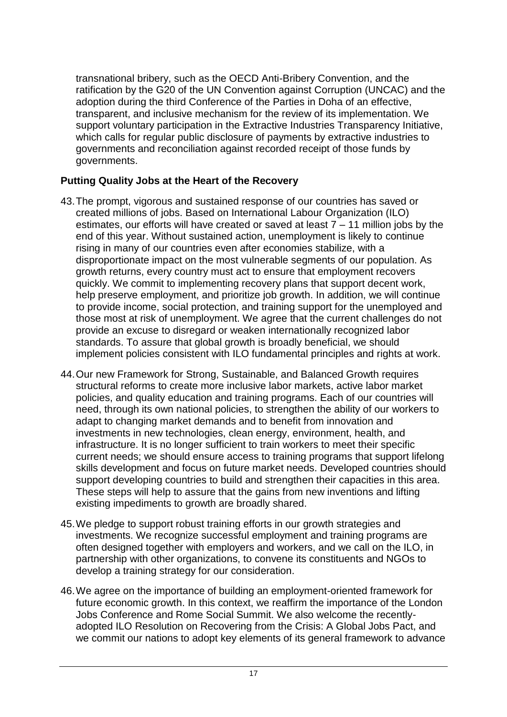transnational bribery, such as the OECD Anti-Bribery Convention, and the ratification by the G20 of the UN Convention against Corruption (UNCAC) and the adoption during the third Conference of the Parties in Doha of an effective, transparent, and inclusive mechanism for the review of its implementation. We support voluntary participation in the Extractive Industries Transparency Initiative, which calls for regular public disclosure of payments by extractive industries to governments and reconciliation against recorded receipt of those funds by governments.

#### **Putting Quality Jobs at the Heart of the Recovery**

- 43.The prompt, vigorous and sustained response of our countries has saved or created millions of jobs. Based on International Labour Organization (ILO) estimates, our efforts will have created or saved at least 7 – 11 million jobs by the end of this year. Without sustained action, unemployment is likely to continue rising in many of our countries even after economies stabilize, with a disproportionate impact on the most vulnerable segments of our population. As growth returns, every country must act to ensure that employment recovers quickly. We commit to implementing recovery plans that support decent work, help preserve employment, and prioritize job growth. In addition, we will continue to provide income, social protection, and training support for the unemployed and those most at risk of unemployment. We agree that the current challenges do not provide an excuse to disregard or weaken internationally recognized labor standards. To assure that global growth is broadly beneficial, we should implement policies consistent with ILO fundamental principles and rights at work.
- 44.Our new Framework for Strong, Sustainable, and Balanced Growth requires structural reforms to create more inclusive labor markets, active labor market policies, and quality education and training programs. Each of our countries will need, through its own national policies, to strengthen the ability of our workers to adapt to changing market demands and to benefit from innovation and investments in new technologies, clean energy, environment, health, and infrastructure. It is no longer sufficient to train workers to meet their specific current needs; we should ensure access to training programs that support lifelong skills development and focus on future market needs. Developed countries should support developing countries to build and strengthen their capacities in this area. These steps will help to assure that the gains from new inventions and lifting existing impediments to growth are broadly shared.
- 45.We pledge to support robust training efforts in our growth strategies and investments. We recognize successful employment and training programs are often designed together with employers and workers, and we call on the ILO, in partnership with other organizations, to convene its constituents and NGOs to develop a training strategy for our consideration.
- 46.We agree on the importance of building an employment-oriented framework for future economic growth. In this context, we reaffirm the importance of the London Jobs Conference and Rome Social Summit. We also welcome the recentlyadopted ILO Resolution on Recovering from the Crisis: A Global Jobs Pact, and we commit our nations to adopt key elements of its general framework to advance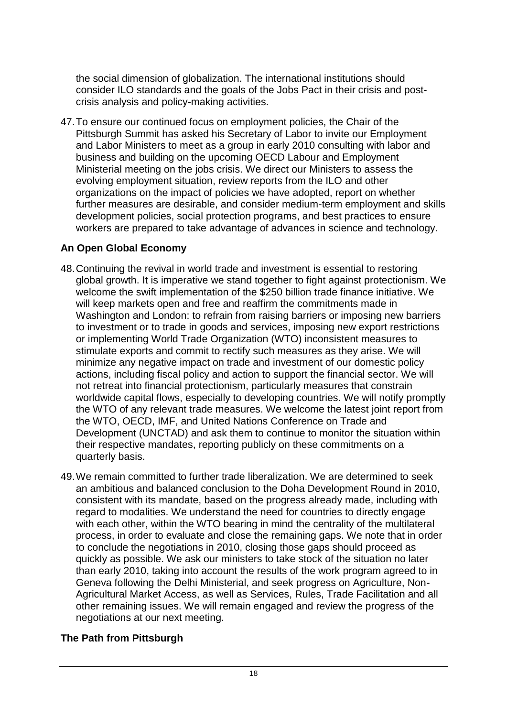the social dimension of globalization. The international institutions should consider ILO standards and the goals of the Jobs Pact in their crisis and postcrisis analysis and policy-making activities.

47.To ensure our continued focus on employment policies, the Chair of the Pittsburgh Summit has asked his Secretary of Labor to invite our Employment and Labor Ministers to meet as a group in early 2010 consulting with labor and business and building on the upcoming OECD Labour and Employment Ministerial meeting on the jobs crisis. We direct our Ministers to assess the evolving employment situation, review reports from the ILO and other organizations on the impact of policies we have adopted, report on whether further measures are desirable, and consider medium-term employment and skills development policies, social protection programs, and best practices to ensure workers are prepared to take advantage of advances in science and technology.

#### **An Open Global Economy**

- 48.Continuing the revival in world trade and investment is essential to restoring global growth. It is imperative we stand together to fight against protectionism. We welcome the swift implementation of the \$250 billion trade finance initiative. We will keep markets open and free and reaffirm the commitments made in Washington and London: to refrain from raising barriers or imposing new barriers to investment or to trade in goods and services, imposing new export restrictions or implementing World Trade Organization (WTO) inconsistent measures to stimulate exports and commit to rectify such measures as they arise. We will minimize any negative impact on trade and investment of our domestic policy actions, including fiscal policy and action to support the financial sector. We will not retreat into financial protectionism, particularly measures that constrain worldwide capital flows, especially to developing countries. We will notify promptly the WTO of any relevant trade measures. We welcome the latest joint report from the WTO, OECD, IMF, and United Nations Conference on Trade and Development (UNCTAD) and ask them to continue to monitor the situation within their respective mandates, reporting publicly on these commitments on a quarterly basis.
- 49.We remain committed to further trade liberalization. We are determined to seek an ambitious and balanced conclusion to the Doha Development Round in 2010, consistent with its mandate, based on the progress already made, including with regard to modalities. We understand the need for countries to directly engage with each other, within the WTO bearing in mind the centrality of the multilateral process, in order to evaluate and close the remaining gaps. We note that in order to conclude the negotiations in 2010, closing those gaps should proceed as quickly as possible. We ask our ministers to take stock of the situation no later than early 2010, taking into account the results of the work program agreed to in Geneva following the Delhi Ministerial, and seek progress on Agriculture, Non-Agricultural Market Access, as well as Services, Rules, Trade Facilitation and all other remaining issues. We will remain engaged and review the progress of the negotiations at our next meeting.

#### **The Path from Pittsburgh**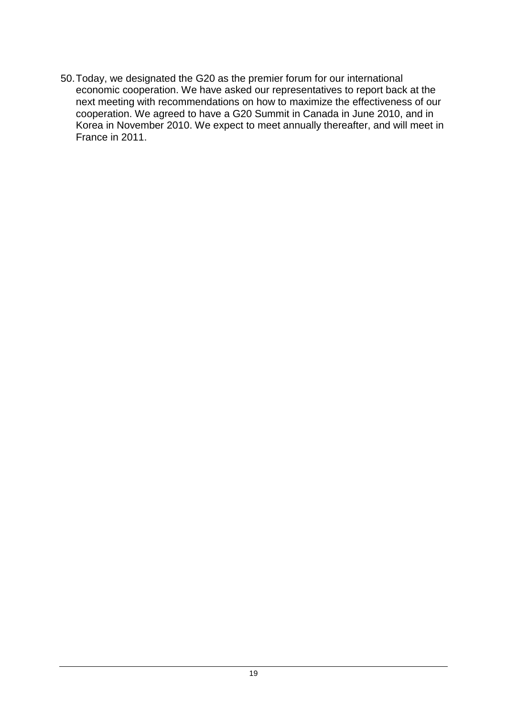50.Today, we designated the G20 as the premier forum for our international economic cooperation. We have asked our representatives to report back at the next meeting with recommendations on how to maximize the effectiveness of our cooperation. We agreed to have a G20 Summit in Canada in June 2010, and in Korea in November 2010. We expect to meet annually thereafter, and will meet in France in 2011.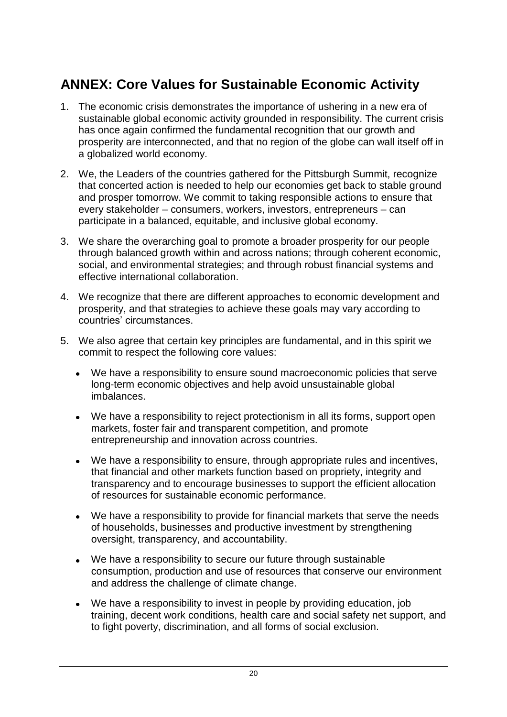## **ANNEX: Core Values for Sustainable Economic Activity**

- 1. The economic crisis demonstrates the importance of ushering in a new era of sustainable global economic activity grounded in responsibility. The current crisis has once again confirmed the fundamental recognition that our growth and prosperity are interconnected, and that no region of the globe can wall itself off in a globalized world economy.
- 2. We, the Leaders of the countries gathered for the Pittsburgh Summit, recognize that concerted action is needed to help our economies get back to stable ground and prosper tomorrow. We commit to taking responsible actions to ensure that every stakeholder – consumers, workers, investors, entrepreneurs – can participate in a balanced, equitable, and inclusive global economy.
- 3. We share the overarching goal to promote a broader prosperity for our people through balanced growth within and across nations; through coherent economic, social, and environmental strategies; and through robust financial systems and effective international collaboration.
- 4. We recognize that there are different approaches to economic development and prosperity, and that strategies to achieve these goals may vary according to countries' circumstances.
- 5. We also agree that certain key principles are fundamental, and in this spirit we commit to respect the following core values:
	- We have a responsibility to ensure sound macroeconomic policies that serve long-term economic objectives and help avoid unsustainable global imbalances.
	- We have a responsibility to reject protectionism in all its forms, support open markets, foster fair and transparent competition, and promote entrepreneurship and innovation across countries.
	- We have a responsibility to ensure, through appropriate rules and incentives, that financial and other markets function based on propriety, integrity and transparency and to encourage businesses to support the efficient allocation of resources for sustainable economic performance.
	- We have a responsibility to provide for financial markets that serve the needs of households, businesses and productive investment by strengthening oversight, transparency, and accountability.
	- We have a responsibility to secure our future through sustainable consumption, production and use of resources that conserve our environment and address the challenge of climate change.
	- We have a responsibility to invest in people by providing education, job training, decent work conditions, health care and social safety net support, and to fight poverty, discrimination, and all forms of social exclusion.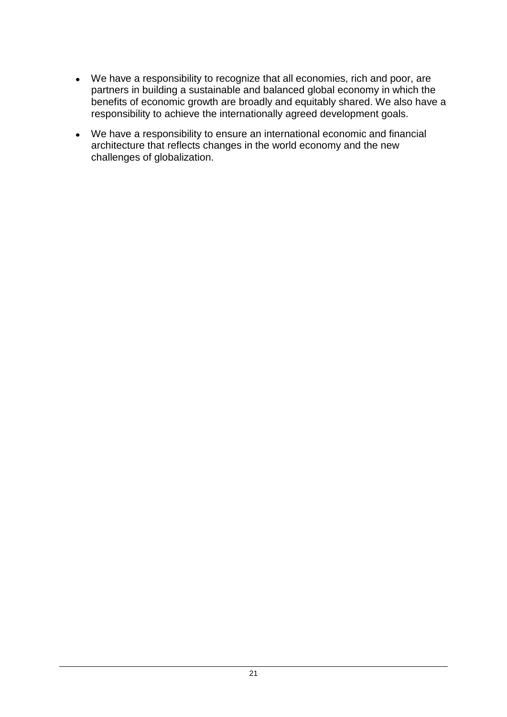- We have a responsibility to recognize that all economies, rich and poor, are partners in building a sustainable and balanced global economy in which the benefits of economic growth are broadly and equitably shared. We also have a responsibility to achieve the internationally agreed development goals.
- We have a responsibility to ensure an international economic and financial architecture that reflects changes in the world economy and the new challenges of globalization.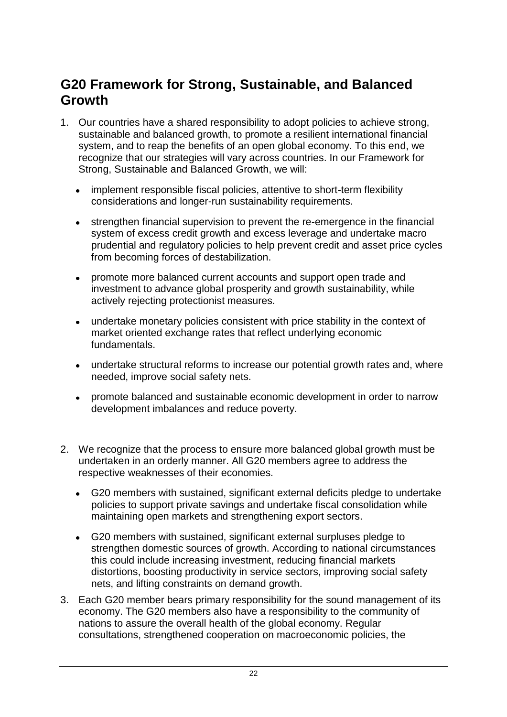### **G20 Framework for Strong, Sustainable, and Balanced Growth**

- 1. Our countries have a shared responsibility to adopt policies to achieve strong, sustainable and balanced growth, to promote a resilient international financial system, and to reap the benefits of an open global economy. To this end, we recognize that our strategies will vary across countries. In our Framework for Strong, Sustainable and Balanced Growth, we will:
	- implement responsible fiscal policies, attentive to short-term flexibility considerations and longer-run sustainability requirements.
	- strengthen financial supervision to prevent the re-emergence in the financial system of excess credit growth and excess leverage and undertake macro prudential and regulatory policies to help prevent credit and asset price cycles from becoming forces of destabilization.
	- promote more balanced current accounts and support open trade and investment to advance global prosperity and growth sustainability, while actively rejecting protectionist measures.
	- undertake monetary policies consistent with price stability in the context of market oriented exchange rates that reflect underlying economic fundamentals.
	- undertake structural reforms to increase our potential growth rates and, where needed, improve social safety nets.
	- promote balanced and sustainable economic development in order to narrow development imbalances and reduce poverty.
- 2. We recognize that the process to ensure more balanced global growth must be undertaken in an orderly manner. All G20 members agree to address the respective weaknesses of their economies.
	- G20 members with sustained, significant external deficits pledge to undertake policies to support private savings and undertake fiscal consolidation while maintaining open markets and strengthening export sectors.
	- G20 members with sustained, significant external surpluses pledge to strengthen domestic sources of growth. According to national circumstances this could include increasing investment, reducing financial markets distortions, boosting productivity in service sectors, improving social safety nets, and lifting constraints on demand growth.
- 3. Each G20 member bears primary responsibility for the sound management of its economy. The G20 members also have a responsibility to the community of nations to assure the overall health of the global economy. Regular consultations, strengthened cooperation on macroeconomic policies, the